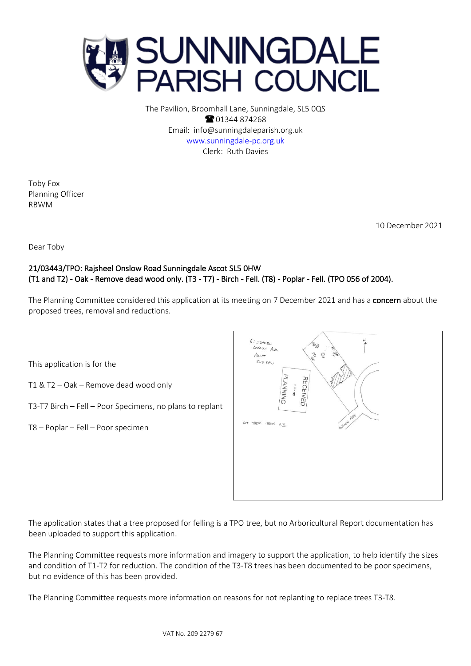

The Pavilion, Broomhall Lane, Sunningdale, SL5 0QS **8** 01344 874268 Email: info@sunningdaleparish.org.uk [www.sunningdale-pc.org.uk](http://www.sunningdale-pc.org.uk/) Clerk: Ruth Davies

Toby Fox Planning Officer RBWM

10 December 2021

Dear Toby

## 21/03443/TPO: Rajsheel Onslow Road Sunningdale Ascot SL5 0HW (T1 and T2) - Oak - Remove dead wood only. (T3 - T7) - Birch - Fell. (T8) - Poplar - Fell. (TPO 056 of 2004).

The Planning Committee considered this application at its meeting on 7 December 2021 and has a concern about the proposed trees, removal and reductions.

This application is for the

- T1 & T2 Oak Remove dead wood only
- T3-T7 Birch Fell Poor Specimens, no plans to replant
- T8 Poplar Fell Poor specimen



The application states that a tree proposed for felling is a TPO tree, but no Arboricultural Report documentation has been uploaded to support this application.

The Planning Committee requests more information and imagery to support the application, to help identify the sizes and condition of T1-T2 for reduction. The condition of the T3-T8 trees has been documented to be poor specimens, but no evidence of this has been provided.

The Planning Committee requests more information on reasons for not replanting to replace trees T3-T8.